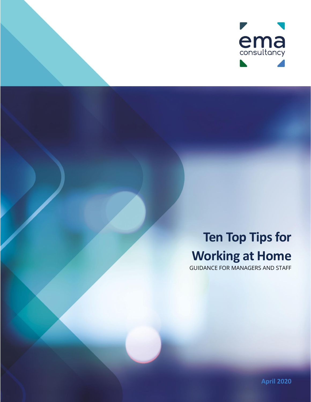

## **Ten Top Tips for Working at Home**

GUIDANCE FOR MANAGERS AND STAFF

**April 2020**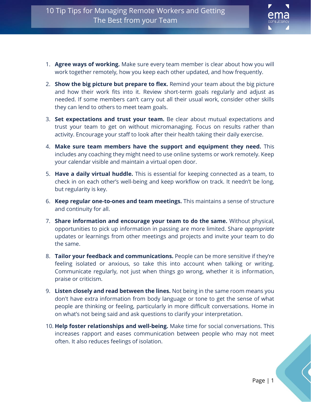

- 1. **Agree ways of working.** Make sure every team member is clear about how you will work together remotely, how you keep each other updated, and how frequently.
- 2. **Show the big picture but prepare to flex.** Remind your team about the big picture and how their work fits into it. Review short-term goals regularly and adjust as needed. If some members can't carry out all their usual work, consider other skills they can lend to others to meet team goals.
- 3. **Set expectations and trust your team.** Be clear about mutual expectations and trust your team to get on without micromanaging. Focus on results rather than activity. Encourage your staff to look after their health taking their daily exercise.
- 4. **Make sure team members have the support and equipment they need.** This includes any coaching they might need to use online systems or work remotely. Keep your calendar visible and maintain a virtual open door.
- 5. **Have a daily virtual huddle.** This is essential for keeping connected as a team, to check in on each other's well-being and keep workflow on track. It needn't be long, but regularity is key.
- 6. **Keep regular one-to-ones and team meetings.** This maintains a sense of structure and continuity for all.
- 7. **Share information and encourage your team to do the same.** Without physical, opportunities to pick up information in passing are more limited. Share *appropriate* updates or learnings from other meetings and projects and invite your team to do the same.
- 8. **Tailor your feedback and communications.** People can be more sensitive if they're feeling isolated or anxious, so take this into account when talking or writing. Communicate regularly, not just when things go wrong, whether it is information, praise or criticism.
- 9. **Listen closely and read between the lines.** Not being in the same room means you don't have extra information from body language or tone to get the sense of what people are thinking or feeling, particularly in more difficult conversations. Home in on what's not being said and ask questions to clarify your interpretation.
- 10. **Help foster relationships and well-being.** Make time for social conversations. This increases rapport and eases communication between people who may not meet often. It also reduces feelings of isolation.